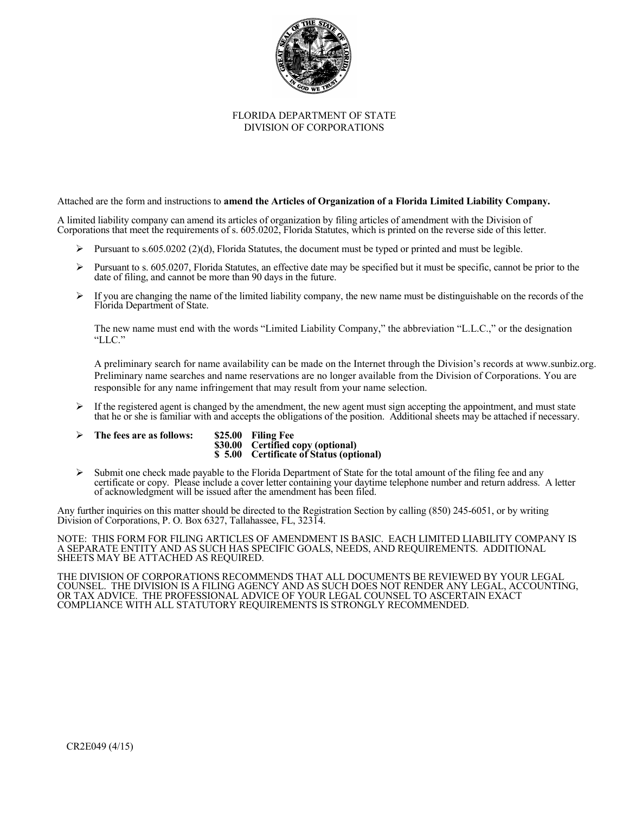

#### FLORIDA DEPARTMENT OF STATE DIVISION OF CORPORATIONS

Attached are the form and instructions to **amend the Articles of Organization of a Florida Limited Liability Company.**

A limited liability company can amend its articles of organization by filing articles of amendment with the Division of Corporations that meet the requirements of s. 605.0202, Florida Statutes, which is printed on the reverse side of this letter.

- Pursuant to s.605.0202 (2)(d), Florida Statutes, the document must be typed or printed and must be legible.
- Pursuant to s.  $605.0207$ , Florida Statutes, an effective date may be specified but it must be specific, cannot be prior to the date of filing, and cannot be more than 90 days in the future.
- $\triangleright$  If you are changing the name of the limited liability company, the new name must be distinguishable on the records of the Florida Department of State.

The new name must end with the words "Limited Liability Company," the abbreviation "L.L.C.," or the designation "LLC."

A preliminary search for name availability can be made on the Internet through the Division's records at www.sunbiz.org. Preliminary name searches and name reservations are no longer available from the Division of Corporations. You are responsible for any name infringement that may result from your name selection.

- $\triangleright$  If the registered agent is changed by the amendment, the new agent must sign accepting the appointment, and must state that he or she is familiar with and accepts the obligations of the position. Additional sheets may be attached if necessary.
- **The fees are as follows: \$25.00 Filing Fee**
	- **\$30.00 Certified copy (optional) \$ 5.00 Certificate of Status (optional)**
- $\triangleright$  Submit one check made payable to the Florida Department of State for the total amount of the filing fee and any certificate or copy. Please include a cover letter containing your daytime telephone number and return address. A letter of acknowledgment will be issued after the amendment has been filed.

Any further inquiries on this matter should be directed to the Registration Section by calling (850) 245-6051, or by writing Division of Corporations, P. O. Box 6327, Tallahassee, FL, 32314.

NOTE: THIS FORM FOR FILING ARTICLES OF AMENDMENT IS BASIC. EACH LIMITED LIABILITY COMPANY IS A SEPARATE ENTITY AND AS SUCH HAS SPECIFIC GOALS, NEEDS, AND REQUIREMENTS. ADDITIONAL SHEETS MAY BE ATTACHED AS REQUIRED.

THE DIVISION OF CORPORATIONS RECOMMENDS THAT ALL DOCUMENTS BE REVIEWED BY YOUR LEGAL COUNSEL. THE DIVISION IS A FILING AGENCY AND AS SUCH DOES NOT RENDER ANY LEGAL, ACCOUNTING, OR TAX ADVICE. THE PROFESSIONAL ADVICE OF YOUR LEGAL COUNSEL TO ASCERTAIN EXACT COMPLIANCE WITH ALL STATUTORY REQUIREMENTS IS STRONGLY RECOMMENDED.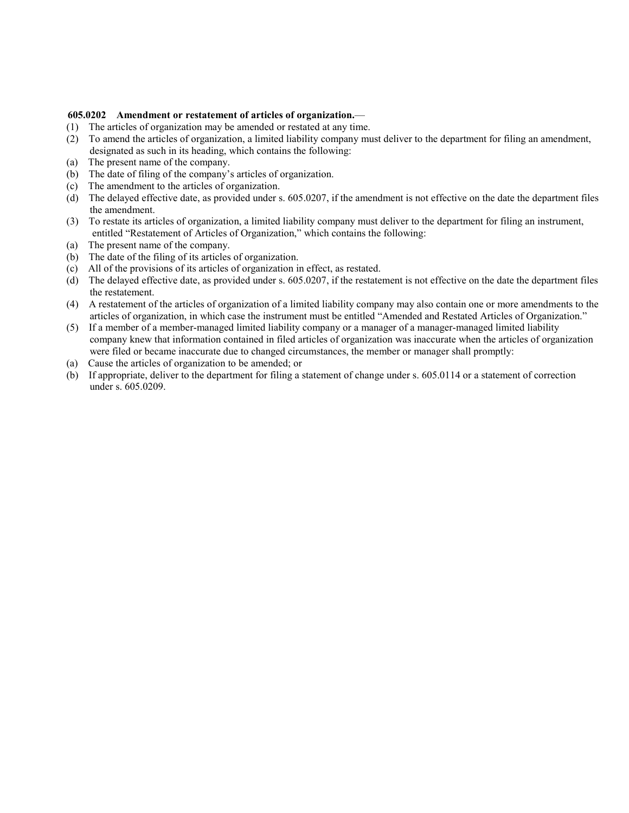### **605.0202 Amendment or restatement of articles of organization.**—

- (1) The articles of organization may be amended or restated at any time.
- (2) To amend the articles of organization, a limited liability company must deliver to the department for filing an amendment, designated as such in its heading, which contains the following:
- (a) The present name of the company.
- (b) The date of filing of the company's articles of organization.
- (c) The amendment to the articles of organization.
- (d) The delayed effective date, as provided under s. 605.0207, if the amendment is not effective on the date the department files the amendment.
- (3) To restate its articles of organization, a limited liability company must deliver to the department for filing an instrument, entitled "Restatement of Articles of Organization," which contains the following:
- (a) The present name of the company.
- (b) The date of the filing of its articles of organization.
- (c) All of the provisions of its articles of organization in effect, as restated.
- (d) The delayed effective date, as provided under s. 605.0207, if the restatement is not effective on the date the department files the restatement.
- (4) A restatement of the articles of organization of a limited liability company may also contain one or more amendments to the articles of organization, in which case the instrument must be entitled "Amended and Restated Articles of Organization."
- (5) If a member of a member-managed limited liability company or a manager of a manager-managed limited liability company knew that information contained in filed articles of organization was inaccurate when the articles of organization were filed or became inaccurate due to changed circumstances, the member or manager shall promptly:
- (a) Cause the articles of organization to be amended; or
- (b) If appropriate, deliver to the department for filing a statement of change under s. 605.0114 or a statement of correction under s. 605.0209.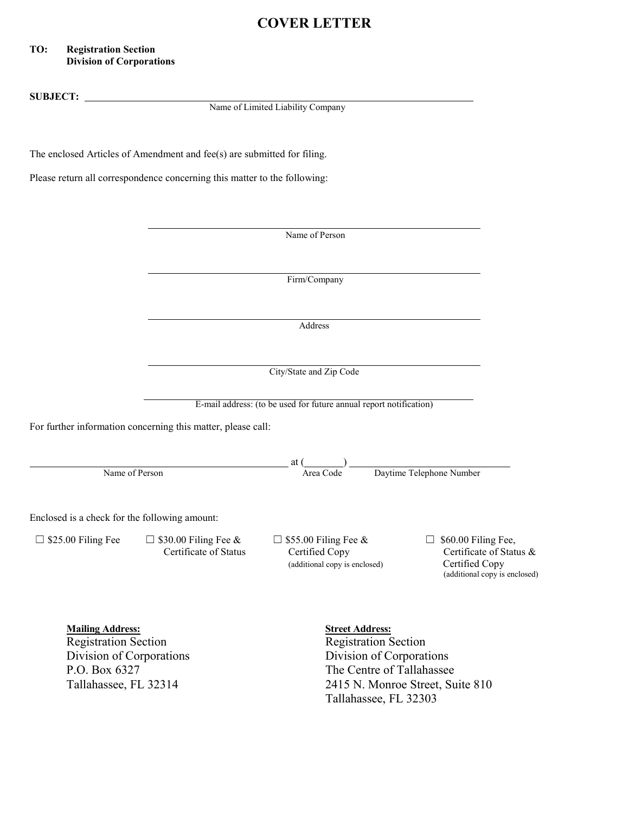# **COVER LETTER**

## **TO: Registration Section Division of Corporations**

**SUBJECT:**  Name of Limited Liability Company The enclosed Articles of Amendment and fee(s) are submitted for filing. Please return all correspondence concerning this matter to the following: Name of Person Firm/Company Address City/State and Zip Code E-mail address: (to be used for future annual report notification) For further information concerning this matter, please call:  $-$  at  $\frac{1}{\text{Area Code}}$ Name of Person  $\overline{Area Code}$  Daytime Telephone Number Enclosed is a check for the following amount:  $□$  \$25.00 Filing Fee  $□$  \$30.00 Filing Fee &  $□$  \$55.00 Filing Fee &  $□$  \$60.00 Filing Fee, Certificate of Status Certified Copy Certificate of Status & (additional copy is enclosed) Certified Copy (additional copy is enclosed) **Mailing Address:**<br>
Registration Section<br>
Registration Section<br>
Registration Section **Registration Section** Division of Corporations Division of Corporations P.O. Box 6327 The Centre of Tallahassee Tallahassee, FL 32314 2415 N. Monroe Street, Suite 810 Tallahassee, FL 32303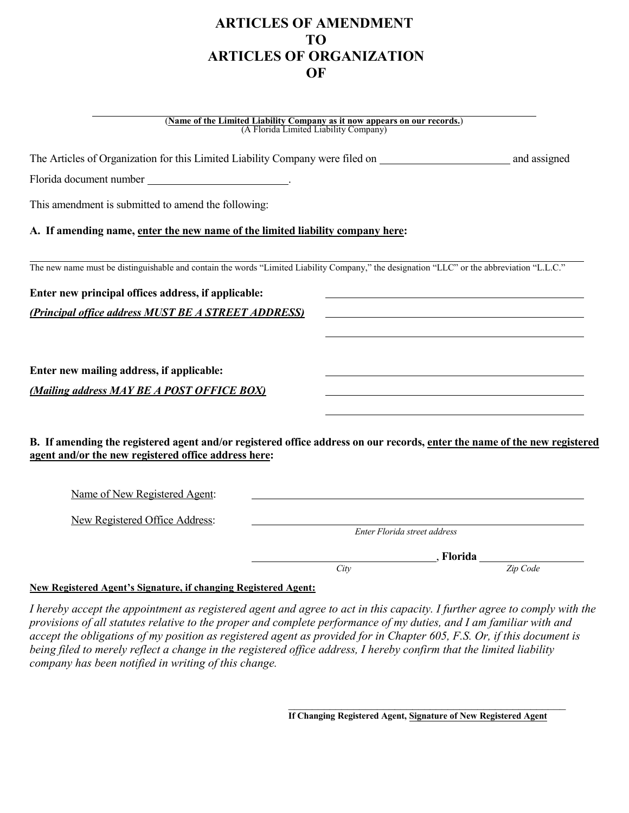# **ARTICLES OF AMENDMENT TO ARTICLES OF ORGANIZATION OF**

#### (**Name of the Limited Liability Company as it now appears on our records.**) (A Florida Limited Liability Company)

The Articles of Organization for this Limited Liability Company were filed on and assigned Florida document number . This amendment is submitted to amend the following: **A. If amending name, enter the new name of the limited liability company here:** The new name must be distinguishable and contain the words "Limited Liability Company," the designation "LLC" or the abbreviation "L.L.C." **Enter new principal offices address, if applicable:** *(Principal office address MUST BE A STREET ADDRESS)*  **Enter new mailing address, if applicable:** *(Mailing address MAY BE A POST OFFICE BOX)* **B. If amending the registered agent and/or registered office address on our records, enter the name of the new registered agent and/or the new registered office address here:** Name of New Registered Agent: New Registered Office Address: *Enter Florida street address* , **Florida** *City Zip Code*

## **New Registered Agent's Signature, if changing Registered Agent:**

*I hereby accept the appointment as registered agent and agree to act in this capacity. I further agree to comply with the provisions of all statutes relative to the proper and complete performance of my duties, and I am familiar with and accept the obligations of my position as registered agent as provided for in Chapter 605, F.S. Or, if this document is being filed to merely reflect a change in the registered office address, I hereby confirm that the limited liability company has been notified in writing of this change.* 

\_\_\_\_\_\_\_\_\_\_\_\_\_\_\_\_\_\_\_\_\_\_\_\_\_\_\_\_\_\_\_\_\_\_\_\_\_\_\_\_\_\_\_\_\_\_\_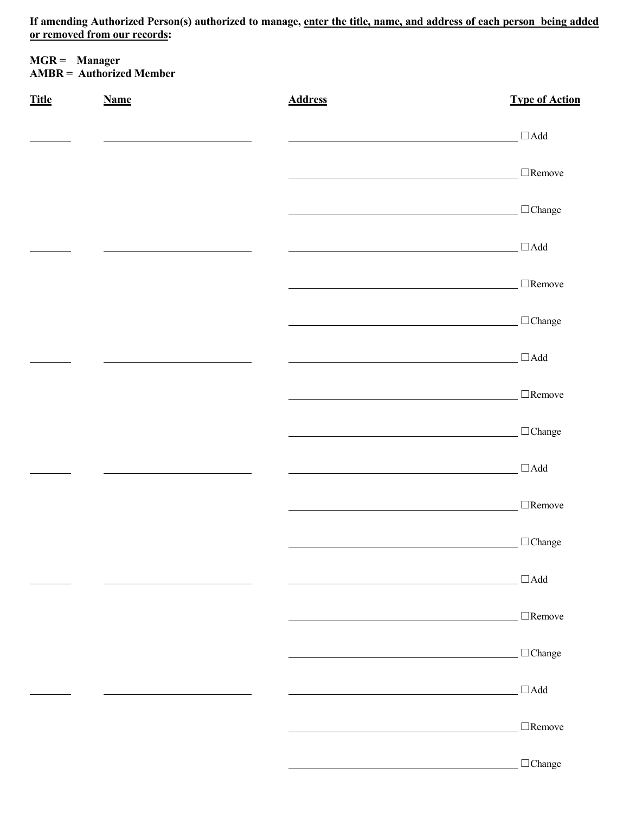**If amending Authorized Person(s) authorized to manage, enter the title, name, and address of each person being added or removed from our records:** 

| <b>MGR</b> = Manager     |  |
|--------------------------|--|
| AMBR = Authorized Member |  |

| <b>Title</b> | <b>Name</b> | <b>Address</b> | <b>Type of Action</b>                                                 |
|--------------|-------------|----------------|-----------------------------------------------------------------------|
|              |             |                | $\Box\mathop{\rm Add}$                                                |
|              |             |                | $\Box$ Remove                                                         |
|              |             |                | $\Box$ Change                                                         |
|              |             |                | $\Box\mathop{\rm Add}$                                                |
|              |             |                | $\Box$ Remove                                                         |
|              |             |                | $\Box$ Change                                                         |
|              |             |                | $\Box\text{Add}$                                                      |
|              |             |                | $\Box$ Remove                                                         |
|              |             |                | $\Box$ Change                                                         |
|              |             |                | $\Box\mathop{\rm Add}$                                                |
|              |             |                | $\Box$ Remove                                                         |
|              |             |                | $\Box$ Change                                                         |
|              |             |                | $\Box$ Add                                                            |
|              |             |                | $\Box$ Remove                                                         |
|              |             |                | $\Box$ Change                                                         |
|              |             |                | $\Box$ Add<br><u> 1980 - Johann Barbara, martin amerikan basar da</u> |
|              |             |                | $\Box$ Remove                                                         |
|              |             |                | $\Box$ Change                                                         |